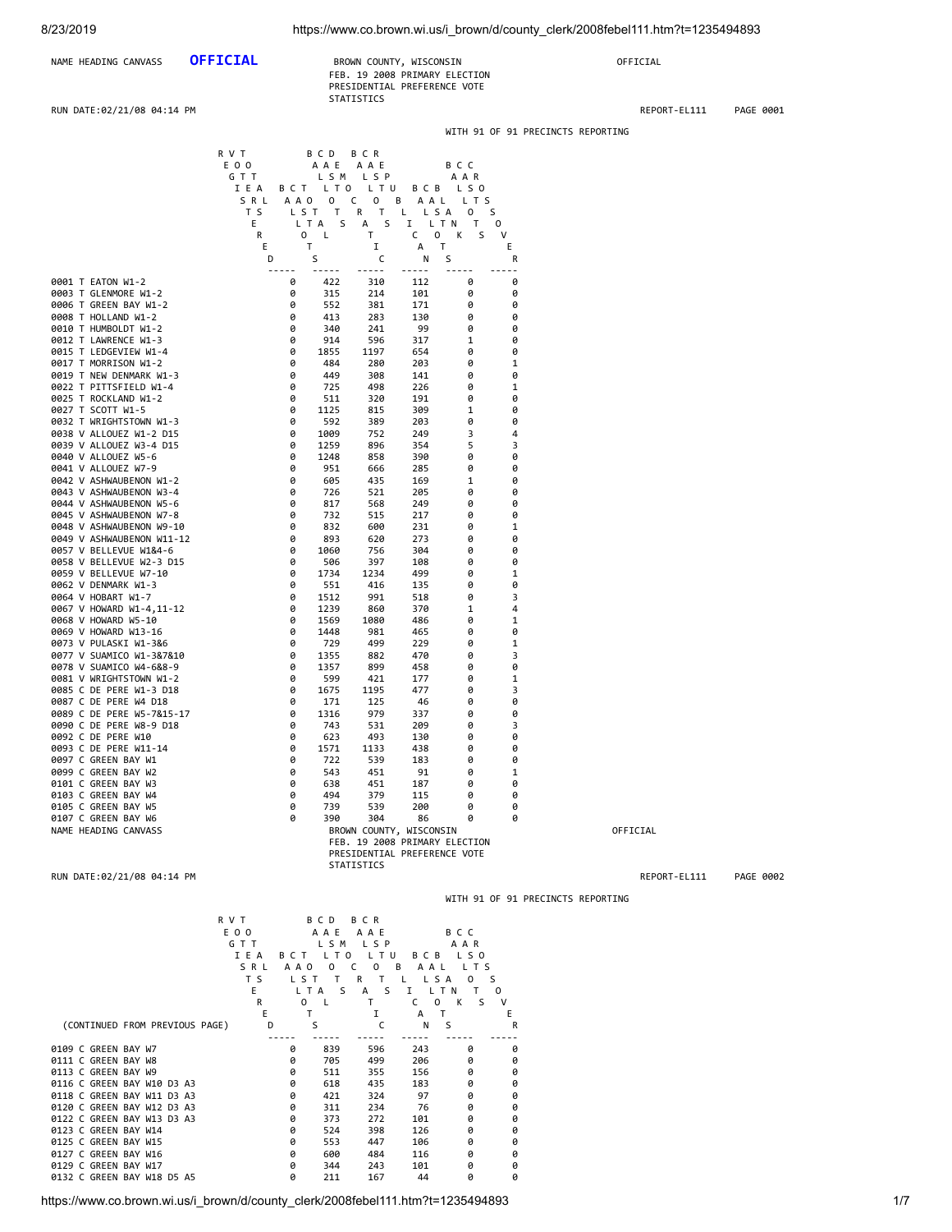| NAME HEADING CANVASS OFFICIAL | BROWN COUNTY, WISCONSIN      | OFFICIAL |
|-------------------------------|------------------------------|----------|
|                               | FFR 19 2008 PRIMARY FLECTION |          |

| NAME HEADING CANVASS       | <b>OFFICIAL</b> | BROWN COUNTY, WISCONSIN       | OFFICIAL     |           |
|----------------------------|-----------------|-------------------------------|--------------|-----------|
|                            |                 | FEB. 19 2008 PRIMARY ELECTION |              |           |
|                            |                 | PRESIDENTIAL PREFERENCE VOTE  |              |           |
|                            |                 | <b>STATISTICS</b>             |              |           |
| RUN DATE:02/21/08 04:14 PM |                 |                               | REPORT-EL111 | PAGE 0001 |

WITH 91 OF 91 PRECINCTS REPORTING

|                                                          | R V T<br>E O O                 | B C D<br>A A E                    | B C R<br>AAE                               |                                    | B C C          |                                         |                                   |              |           |
|----------------------------------------------------------|--------------------------------|-----------------------------------|--------------------------------------------|------------------------------------|----------------|-----------------------------------------|-----------------------------------|--------------|-----------|
|                                                          | GTT<br>IEA                     | B C T L T O L T U                 | LSM LSP                                    |                                    | AAR<br>BCB LSO |                                         |                                   |              |           |
|                                                          | SRL                            | A A O O                           | $\mathsf{C}$<br>$\overline{\mathbf{0}}$    | B AAL LTS                          |                |                                         |                                   |              |           |
|                                                          | T S<br>Е                       | LST T<br>L T A<br>S               | R T<br>S<br>А                              | L LSA 0<br>I LTN T                 | s              | $\circ$                                 |                                   |              |           |
|                                                          | R<br>Е                         | $\mathbf{0}$<br>$\mathsf{L}$<br>Τ | Τ<br>Ι.                                    | C<br>0<br>$\mathsf{T}$<br>А        | K<br>S         | V<br>Ε                                  |                                   |              |           |
|                                                          | D<br>$- - - - -$               | S<br>----                         | C<br>$- - - - -$                           | Ν<br>-----                         | S<br>-----     | R<br>$ -$                               |                                   |              |           |
| 0001 T EATON W1-2<br>0003 T GLENMORE W1-2                | 0<br>0                         | 422<br>315                        | 310<br>214                                 | 112<br>101                         | 0<br>0         | 0<br>0                                  |                                   |              |           |
| 0006 T GREEN BAY W1-2                                    | 0                              | 552                               | 381                                        | 171                                | 0              | 0                                       |                                   |              |           |
| 0008 T HOLLAND W1-2<br>0010 T HUMBOLDT W1-2              | 0<br>0                         | 413<br>340                        | 283<br>241                                 | 130<br>99                          | 0<br>0         | 0<br>0                                  |                                   |              |           |
| 0012 T LAWRENCE W1-3                                     | 0                              | 914                               | 596                                        | 317                                | 1              | 0                                       |                                   |              |           |
| 0015 T LEDGEVIEW W1-4<br>0017 T MORRISON W1-2            | 0<br>0                         | 1855<br>484                       | 1197<br>280                                | 654<br>203                         | 0<br>0         | 0<br>1                                  |                                   |              |           |
| 0019 T NEW DENMARK W1-3<br>0022 T PITTSFIELD W1-4        | 0<br>0                         | 449<br>725                        | 308<br>498                                 | 141<br>226                         | 0<br>0         | 0<br>1                                  |                                   |              |           |
| 0025 T ROCKLAND W1-2                                     | 0                              | 511                               | 320                                        | 191                                | 0              | 0                                       |                                   |              |           |
| 0027 T SCOTT W1-5<br>0032 T WRIGHTSTOWN W1-3             | 0<br>0                         | 1125<br>592                       | 815<br>389                                 | 309<br>203                         | 1<br>0         | 0<br>0                                  |                                   |              |           |
| 0038 V ALLOUEZ W1-2 D15                                  | 0                              | 1009                              | 752                                        | 249                                | 3              | $\overline{4}$                          |                                   |              |           |
| 0039 V ALLOUEZ W3-4 D15<br>0040 V ALLOUEZ W5-6           | 0<br>0                         | 1259<br>1248                      | 896<br>858                                 | 354<br>390                         | 5<br>0         | 3<br>0                                  |                                   |              |           |
| 0041 V ALLOUEZ W7-9                                      | 0<br>0                         | 951                               | 666                                        | 285                                | 0              | 0<br>0                                  |                                   |              |           |
| 0042 V ASHWAUBENON W1-2<br>0043 V ASHWAUBENON W3-4       | 0                              | 605<br>726                        | 435<br>521                                 | 169<br>205                         | 1<br>0         | 0                                       |                                   |              |           |
| 0044 V ASHWAUBENON W5-6<br>0045 V ASHWAUBENON W7-8       | 0<br>0                         | 817<br>732                        | 568<br>515                                 | 249<br>217                         | 0<br>0         | 0<br>0                                  |                                   |              |           |
| 0048 V ASHWAUBENON W9-10                                 | 0                              | 832                               | 600                                        | 231                                | 0              | 1                                       |                                   |              |           |
| 0049 V ASHWAUBENON W11-12<br>0057 V BELLEVUE W1&4-6      | 0<br>0                         | 893<br>1060                       | 620<br>756                                 | 273<br>304                         | 0<br>0         | 0<br>0                                  |                                   |              |           |
| 0058 V BELLEVUE W2-3 D15                                 | 0                              | 506                               | 397                                        | 108                                | 0              | 0                                       |                                   |              |           |
| 0059 V BELLEVUE W7-10<br>0062 V DENMARK W1-3             | 0<br>0                         | 1734<br>551                       | 1234<br>416                                | 499<br>135                         | 0<br>0         | 1<br>0                                  |                                   |              |           |
| 0064 V HOBART W1-7<br>0067 V HOWARD W1-4,11-12           | 0<br>0                         | 1512<br>1239                      | 991<br>860                                 | 518<br>370                         | 0<br>1         | 3<br>4                                  |                                   |              |           |
| 0068 V HOWARD W5-10                                      | 0                              | 1569                              | 1080                                       | 486                                | 0              | 1                                       |                                   |              |           |
| 0069 V HOWARD W13-16<br>0073 V PULASKI W1-3&6            | 0<br>0                         | 1448<br>729                       | 981<br>499                                 | 465<br>229                         | 0<br>0         | 0<br>1                                  |                                   |              |           |
| 0077 V SUAMICO W1-3&7&10                                 | 0                              | 1355                              | 882                                        | 470                                | 0              | 3                                       |                                   |              |           |
| 0078 V SUAMICO W4-6&8-9<br>0081 V WRIGHTSTOWN W1-2       | 0<br>0                         | 1357<br>599                       | 899<br>421                                 | 458<br>177                         | 0<br>0         | 0<br>1                                  |                                   |              |           |
| 0085 C DE PERE W1-3 D18                                  | 0                              | 1675                              | 1195                                       | 477                                | 0              | 3                                       |                                   |              |           |
| 0087 C DE PERE W4 D18<br>0089 C DE PERE W5-7&15-17       | 0<br>0                         | 171<br>1316                       | 125<br>979                                 | 46<br>337                          | 0<br>0         | 0<br>0                                  |                                   |              |           |
| 0090 C DE PERE W8-9 D18<br>0092 C DE PERE W10            | 0<br>0                         | 743<br>623                        | 531<br>493                                 | 209<br>130                         | 0<br>0         | 3<br>0                                  |                                   |              |           |
| 0093 C DE PERE W11-14                                    | 0                              | 1571                              | 1133                                       | 438                                | 0              | 0                                       |                                   |              |           |
| 0097 C GREEN BAY W1<br>0099 C GREEN BAY W2               | 0<br>0                         | 722<br>543                        | 539<br>451                                 | 183<br>91                          | 0<br>0         | 0<br>1                                  |                                   |              |           |
| 0101 C GREEN BAY W3                                      | 0                              | 638                               | 451                                        | 187                                | 0              | 0                                       |                                   |              |           |
| 0103 C GREEN BAY W4<br>0105 C GREEN BAY W5               | 0<br>0                         | 494<br>739                        | 379<br>539                                 | 115<br>200                         | 0<br>0         | 0<br>0                                  |                                   |              |           |
| 0107 C GREEN BAY W6<br>NAME HEADING CANVASS              | 0                              | 390                               | 304<br>BROWN COUNTY, WISCONSIN             | 86                                 | 0              | 0                                       |                                   |              |           |
|                                                          |                                |                                   | FEB. 19 2008 PRIMARY ELECTION              |                                    |                |                                         |                                   | OFFICIAL     |           |
|                                                          |                                |                                   | PRESIDENTIAL PREFERENCE VOTE<br>STATISTICS |                                    |                |                                         |                                   |              |           |
| RUN DATE:02/21/08 04:14 PM                               |                                |                                   |                                            |                                    |                |                                         |                                   | REPORT-EL111 | PAGE 0002 |
|                                                          |                                |                                   |                                            |                                    |                |                                         | WITH 91 OF 91 PRECINCTS REPORTING |              |           |
|                                                          | R V T                          | B C D                             | B C R                                      |                                    |                |                                         |                                   |              |           |
|                                                          | E 0 0<br>G T T                 |                                   | AAE AAE<br>LSM LSP                         |                                    | B C C<br>AAR   |                                         |                                   |              |           |
|                                                          | IEA BCT LTO LTU                |                                   |                                            |                                    | BCB LSO        |                                         |                                   |              |           |
|                                                          | SRL AAO O C O B AAL LTS<br>T S | LST T R T L LSA O S               |                                            |                                    |                |                                         |                                   |              |           |
|                                                          | E.<br>R                        | LTAS AS I LTN T<br>0 L            | $\mathsf{T}$                               | C                                  | OKS            | $\overline{\mathbf{0}}$<br>$\mathbf{V}$ |                                   |              |           |
|                                                          | Е                              | T                                 | Ι.                                         | $\top$<br>A                        |                | E                                       |                                   |              |           |
| (CONTINUED FROM PREVIOUS PAGE)                           | D<br>$- - - - -$               | S<br>$\frac{1}{2}$                | C<br>$- - - - -$                           | $\mathsf{S}$<br>N<br>$\frac{1}{2}$ |                | R                                       |                                   |              |           |
| 0109 C GREEN BAY W7                                      | 0                              | 839                               | 596                                        | 243                                | 0              | 0<br>0                                  |                                   |              |           |
| 0111 C GREEN BAY W8<br>0113 C GREEN BAY W9               | 0<br>0                         | 705<br>511                        | 499<br>355                                 | 206<br>156                         | 0<br>0         | 0                                       |                                   |              |           |
| 0116 C GREEN BAY W10 D3 A3<br>0118 C GREEN BAY W11 D3 A3 | 0<br>0                         | 618<br>421                        | 435<br>324                                 | 183<br>97                          | 0<br>0         | 0<br>0                                  |                                   |              |           |
| 0120 C GREEN BAY W12 D3 A3                               | 0                              | 311                               | 234                                        | - 76                               | 0              | 0                                       |                                   |              |           |
| 0122 C GREEN BAY W13 D3 A3<br>0123 C GREEN BAY W14       | 0<br>0                         | 373<br>524                        | 272<br>398                                 | 101<br>126                         | 0<br>0         | 0<br>0                                  |                                   |              |           |
| 0125 C GREEN BAY W15                                     | 0                              | 553                               | 447                                        | 106                                | 0              | 0                                       |                                   |              |           |
| 0127 C GREEN BAY W16<br>0129 C GREEN BAY W17             | 0<br>0                         | 600<br>344                        | 484<br>243                                 | 116<br>101                         | 0<br>0         | 0<br>0                                  |                                   |              |           |
| 0132 C GREEN BAY W18 D5 A5                               | 0                              | 211                               | 167                                        | 44                                 | 0              | 0                                       |                                   |              |           |

https://www.co.brown.wi.us/i\_brown/d/county\_clerk/2008febel111.htm?t=1235494893 1/7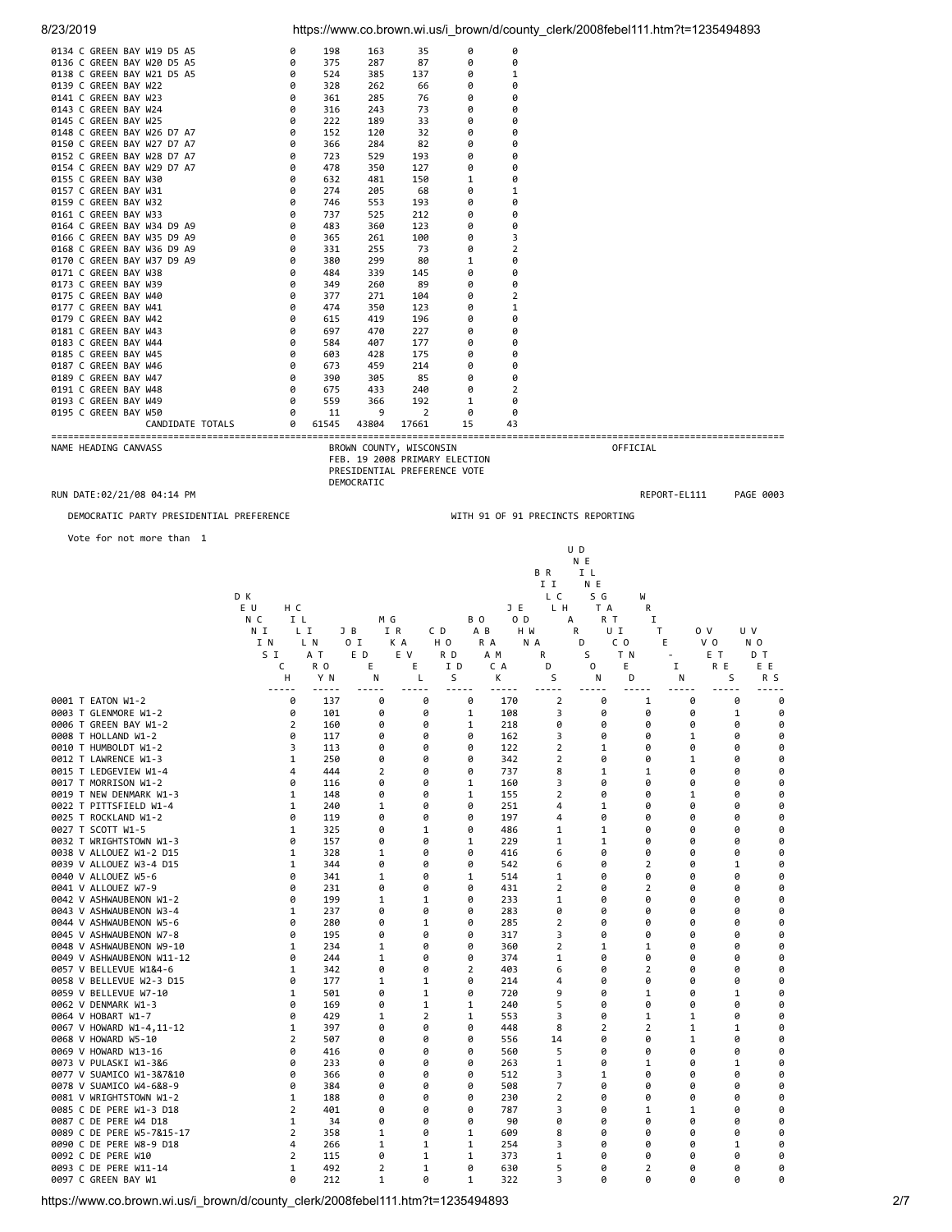| 8/23/2019                                                |                     |                |                                                                                          |                  |                     |                     | https://www.co.brown.wi.us/i_brown/d/county_clerk/2008febel111.htm?t=1235494893 |                |              |                       |                  |  |
|----------------------------------------------------------|---------------------|----------------|------------------------------------------------------------------------------------------|------------------|---------------------|---------------------|---------------------------------------------------------------------------------|----------------|--------------|-----------------------|------------------|--|
| 0134 C GREEN BAY W19 D5 A5                               | 0                   | 198            | 163                                                                                      | 35               | 0                   | 0                   |                                                                                 |                |              |                       |                  |  |
| 0136 C GREEN BAY W20 D5 A5                               | 0                   | 375            | 287                                                                                      | 87               | 0                   | 0                   |                                                                                 |                |              |                       |                  |  |
| 0138 C GREEN BAY W21 D5 A5<br>0139 C GREEN BAY W22       | 0<br>0              | 524<br>328     | 385<br>262                                                                               | 137<br>66        | 0<br>0              | 1<br>0              |                                                                                 |                |              |                       |                  |  |
| 0141 C GREEN BAY W23                                     | 0                   | 361            | 285                                                                                      | 76               | 0                   | 0                   |                                                                                 |                |              |                       |                  |  |
| 0143 C GREEN BAY W24<br>0145 C GREEN BAY W25             | 0<br>0              | 316<br>222     | 243<br>189                                                                               | 73<br>33         | 0<br>0              | 0<br>0              |                                                                                 |                |              |                       |                  |  |
| 0148 C GREEN BAY W26 D7 A7                               | 0                   | 152            | 120                                                                                      | 32               | 0                   | 0                   |                                                                                 |                |              |                       |                  |  |
| 0150 C GREEN BAY W27 D7 A7                               | 0                   | 366            | 284                                                                                      | 82               | 0                   | 0                   |                                                                                 |                |              |                       |                  |  |
| 0152 C GREEN BAY W28 D7 A7<br>0154 C GREEN BAY W29 D7 A7 | 0<br>0              | 723<br>478     | 529<br>350                                                                               | 193<br>127       | 0<br>0              | 0<br>0              |                                                                                 |                |              |                       |                  |  |
| 0155 C GREEN BAY W30                                     | 0                   | 632            | 481                                                                                      | 150              | 1                   | 0                   |                                                                                 |                |              |                       |                  |  |
| 0157 C GREEN BAY W31                                     | 0                   | 274            | 205                                                                                      | 68               | 0                   | 1                   |                                                                                 |                |              |                       |                  |  |
| 0159 C GREEN BAY W32<br>0161 C GREEN BAY W33             | 0<br>0              | 746<br>737     | 553<br>525                                                                               | 193<br>212       | 0<br>0              | 0<br>0              |                                                                                 |                |              |                       |                  |  |
| 0164 C GREEN BAY W34 D9 A9                               | 0                   | 483            | 360                                                                                      | 123              | 0                   | 0                   |                                                                                 |                |              |                       |                  |  |
| 0166 C GREEN BAY W35 D9 A9                               | 0                   | 365            | 261                                                                                      | 100              | 0                   | 3                   |                                                                                 |                |              |                       |                  |  |
| 0168 C GREEN BAY W36 D9 A9<br>0170 C GREEN BAY W37 D9 A9 | 0<br>0              | 331<br>380     | 255<br>299                                                                               | 73<br>80         | 0<br>1              | $\overline{2}$<br>0 |                                                                                 |                |              |                       |                  |  |
| 0171 C GREEN BAY W38                                     | 0                   | 484            | 339                                                                                      | 145              | 0                   | 0                   |                                                                                 |                |              |                       |                  |  |
| 0173 C GREEN BAY W39<br>0175 C GREEN BAY W40             | 0<br>0              | 349<br>377     | 260<br>271                                                                               | 89<br>104        | 0<br>0              | 0<br>2              |                                                                                 |                |              |                       |                  |  |
| 0177 C GREEN BAY W41                                     | 0                   | 474            | 350                                                                                      | 123              | 0                   | 1                   |                                                                                 |                |              |                       |                  |  |
| 0179 C GREEN BAY W42                                     | 0                   | 615            | 419                                                                                      | 196              | 0                   | 0                   |                                                                                 |                |              |                       |                  |  |
| 0181 C GREEN BAY W43<br>0183 C GREEN BAY W44             | 0<br>0              | 697<br>584     | 470<br>407                                                                               | 227<br>177       | 0<br>0              | 0<br>0              |                                                                                 |                |              |                       |                  |  |
| 0185 C GREEN BAY W45                                     | 0                   | 603            | 428                                                                                      | 175              | 0                   | 0                   |                                                                                 |                |              |                       |                  |  |
| 0187 C GREEN BAY W46                                     | 0                   | 673            | 459                                                                                      | 214              | 0                   | 0                   |                                                                                 |                |              |                       |                  |  |
| 0189 C GREEN BAY W47<br>0191 C GREEN BAY W48             | 0<br>0              | 390<br>675     | 305<br>433                                                                               | 85<br>240        | 0<br>0              | 0<br>2              |                                                                                 |                |              |                       |                  |  |
| 0193 C GREEN BAY W49                                     | 0                   | 559            | 366                                                                                      | 192              | 1                   | 0                   |                                                                                 |                |              |                       |                  |  |
| 0195 C GREEN BAY W50                                     | 0                   | 11             | 9                                                                                        | 2                | 0                   | 0                   |                                                                                 |                |              |                       |                  |  |
| CANDIDATE TOTALS                                         | 0                   | 61545          | 43804                                                                                    | 17661            | 15                  | 43                  |                                                                                 |                |              |                       |                  |  |
| NAME HEADING CANVASS                                     |                     |                | BROWN COUNTY, WISCONSIN<br>FEB. 19 2008 PRIMARY ELECTION<br>PRESIDENTIAL PREFERENCE VOTE |                  |                     |                     |                                                                                 | OFFICIAL       |              |                       |                  |  |
| RUN DATE:02/21/08 04:14 PM                               |                     |                | DEMOCRATIC                                                                               |                  |                     |                     |                                                                                 |                | REPORT-EL111 |                       | PAGE 0003        |  |
| DEMOCRATIC PARTY PRESIDENTIAL PREFERENCE                 |                     |                |                                                                                          |                  |                     |                     | WITH 91 OF 91 PRECINCTS REPORTING                                               |                |              |                       |                  |  |
|                                                          |                     |                |                                                                                          |                  |                     |                     |                                                                                 |                |              |                       |                  |  |
| Vote for not more than 1                                 |                     |                |                                                                                          |                  |                     |                     | U D                                                                             |                |              |                       |                  |  |
|                                                          |                     |                |                                                                                          |                  |                     |                     | N E                                                                             |                |              |                       |                  |  |
|                                                          |                     |                |                                                                                          |                  |                     |                     | BR<br>I I                                                                       | I L<br>N E     |              |                       |                  |  |
|                                                          |                     |                |                                                                                          |                  |                     |                     |                                                                                 |                |              |                       |                  |  |
|                                                          | D K                 |                |                                                                                          |                  |                     |                     | L C                                                                             | S G            | W            |                       |                  |  |
|                                                          | E U<br>нc           |                |                                                                                          |                  |                     | JE                  | LН                                                                              | T A            | R            |                       |                  |  |
|                                                          | N C<br>ΙL           |                | ΜG                                                                                       |                  | B O                 | O D                 | А                                                                               | R T            | I            |                       |                  |  |
|                                                          | ΝI<br>LΙ<br>I N     | L N            | I R<br>J B<br>0 I                                                                        | C D<br>H O<br>КA | A B<br>R A          | H W<br>N A          | R<br>D                                                                          | UI<br>C O      | Τ<br>Е       | 0 V<br>V <sub>0</sub> | U V<br>N O       |  |
|                                                          | S I                 | A T            | E D                                                                                      | E V              | R D                 | A M                 | R                                                                               | S<br>T N       |              | E T                   | DТ               |  |
|                                                          | c                   | R <sub>0</sub> | Ε                                                                                        | Ε                | I D                 | C A                 | D                                                                               | 0<br>Ε         | 1            | R E                   | ΕE               |  |
|                                                          | н                   | Y N            | Ν                                                                                        | L                | S                   | κ                   | S                                                                               | Ν<br>D         | Ν            |                       | S<br>R S         |  |
| 0001 T EATON W1-2                                        | 0                   | 137            | 0                                                                                        | 0                | 0                   | 170                 | $\overline{2}$                                                                  | 0              | 1            | 0                     | 0<br>0           |  |
| 0003 T GLENMORE W1-2                                     | 0                   | 101            | 0                                                                                        | 0                | 1                   | 108                 | 3                                                                               | 0              | 0            | 0                     | 0<br>1           |  |
| 0006 T GREEN BAY W1-2<br>0008 T HOLLAND W1-2             | $\overline{2}$<br>0 | 160<br>117     | 0<br>0                                                                                   | 0<br>0           | 1<br>0              | 218<br>162          | 0<br>3                                                                          | 0<br>0         | 0<br>0       | 0<br>1                | 0<br>0<br>0<br>0 |  |
| 0010 T HUMBOLDT W1-2                                     | 3                   | 113            | 0                                                                                        | 0                | 0                   | 122                 | 2                                                                               | 1              | 0            | 0                     | 0<br>0           |  |
| 0012 T LAWRENCE W1-3                                     | 1<br>4              | 250<br>444     | 0                                                                                        | 0<br>0           | 0<br>0              | 342                 | 2                                                                               | 0              | 0            | 1<br>0                | 0<br>0<br>0      |  |
| 0015 T LEDGEVIEW W1-4<br>0017 T MORRISON W1-2            | 0                   | 116            | 2<br>0                                                                                   | 0                | 1                   | 737<br>160          | 8<br>3                                                                          | 1<br>0         | 1<br>0       | 0                     | 0<br>0<br>0      |  |
| 0019 T NEW DENMARK W1-3                                  | 1                   | 148            | 0                                                                                        | 0                | 1                   | 155                 | 2                                                                               | 0              | 0            | 1                     | 0<br>0           |  |
| 0022 T PITTSFIELD W1-4<br>0025 T ROCKLAND W1-2           | 1                   | 240            | 1<br>0                                                                                   | 0<br>0           | 0<br>0              | 251                 | 4<br>4                                                                          | 1<br>0         | 0<br>0       | 0<br>0                | 0<br>0<br>0      |  |
| 0027 T SCOTT W1-5                                        | 0<br>1              | 119<br>325     | 0                                                                                        | 1                | 0                   | 197<br>486          | 1                                                                               | 1              | 0            | 0                     | 0<br>0<br>0      |  |
| 0032 T WRIGHTSTOWN W1-3                                  | 0                   | 157            | 0                                                                                        | 0                | $\mathbf{1}$        | 229                 | 1                                                                               | 1              | 0            | 0                     | 0<br>0           |  |
| 0038 V ALLOUEZ W1-2 D15                                  | 1                   | 328            | 1<br>0                                                                                   | 0<br>0           | 0<br>0              | 416                 | 6                                                                               | 0<br>0         | 0            | 0<br>0                | 0<br>0           |  |
| 0039 V ALLOUEZ W3-4 D15<br>0040 V ALLOUEZ W5-6           | 1<br>0              | 344<br>341     | 1                                                                                        | 0                | 1                   | 542<br>514          | 6<br>1                                                                          | 0              | 2<br>0       | 0                     | 0<br>1<br>0<br>0 |  |
| 0041 V ALLOUEZ W7-9                                      | 0                   | 231            | 0                                                                                        | 0                | 0                   | 431                 | 2                                                                               | 0              | 2            | 0                     | 0<br>0           |  |
| 0042 V ASHWAUBENON W1-2                                  | 0                   | 199            | 1                                                                                        | 1                | 0                   | 233                 | 1                                                                               | 0              | 0            | 0                     | 0<br>0           |  |
| 0043 V ASHWAUBENON W3-4<br>0044 V ASHWAUBENON W5-6       | 1<br>0              | 237<br>280     | 0<br>0                                                                                   | 0<br>1           | 0<br>0              | 283<br>285          | 0<br>2                                                                          | 0<br>0         | 0<br>0       | 0<br>0                | 0<br>0<br>0<br>0 |  |
| 0045 V ASHWAUBENON W7-8                                  | 0                   | 195            | 0                                                                                        | 0                | 0                   | 317                 | 3                                                                               | 0              | 0            | 0                     | 0<br>0           |  |
| 0048 V ASHWAUBENON W9-10                                 | 1                   | 234            | 1                                                                                        | 0                | 0                   | 360                 | $\overline{2}$                                                                  | 1              | 1            | 0                     | 0<br>0           |  |
| 0049 V ASHWAUBENON W11-12<br>0057 V BELLEVUE W1&4-6      | 0<br>1              | 244<br>342     | 1<br>0                                                                                   | 0<br>0           | 0<br>$\overline{2}$ | 374<br>403          | 1<br>6                                                                          | 0<br>0         | 0<br>2       | 0<br>0                | 0<br>0<br>0<br>0 |  |
| 0058 V BELLEVUE W2-3 D15                                 | 0                   | 177            | 1                                                                                        | 1                | 0                   | 214                 | 4                                                                               | 0              | 0            | 0                     | 0<br>0           |  |
| 0059 V BELLEVUE W7-10                                    | 1                   | 501            | 0                                                                                        | 1                | 0                   | 720                 | 9                                                                               | 0              | 1            | 0                     | 0<br>1           |  |
| 0062 V DENMARK W1-3<br>0064 V HOBART W1-7                | 0<br>0              | 169<br>429     | 0<br>1                                                                                   | 1<br>2           | 1<br>1              | 240<br>553          | 5<br>3                                                                          | 0<br>0         | 0<br>1       | 0<br>1                | 0<br>0<br>0<br>0 |  |
| 0067 V HOWARD W1-4,11-12                                 | 1                   | 397            | 0                                                                                        | 0                | 0                   | 448                 | 8                                                                               | $\overline{2}$ | 2            | 1                     | 0<br>1           |  |
| 0068 V HOWARD W5-10                                      | 2                   | 507            | 0                                                                                        | 0                | 0                   | 556                 | 14                                                                              | 0              | 0            | 1                     | 0<br>0           |  |
| 0069 V HOWARD W13-16<br>0073 V PULASKI W1-3&6            | 0<br>0              | 416<br>233     | 0<br>0                                                                                   | 0<br>0           | 0<br>0              | 560<br>263          | 5<br>1                                                                          | 0<br>0         | 0<br>1       | 0<br>0                | 0<br>0<br>0<br>1 |  |
| 0077 V SUAMICO W1-3&7&10                                 | 0                   | 366            | 0                                                                                        | 0                | 0                   | 512                 | 3                                                                               | 1              | 0            | 0                     | 0<br>0           |  |
| 0078 V SUAMICO W4-6&8-9                                  | 0                   | 384            | 0                                                                                        | 0                | 0                   | 508                 | 7                                                                               | 0              | 0            | 0                     | 0<br>0           |  |
| 0081 V WRIGHTSTOWN W1-2<br>0085 C DE PERE W1-3 D18       | 1<br>2              | 188<br>401     | 0<br>0                                                                                   | 0<br>0           | 0<br>0              | 230<br>787          | 2<br>3                                                                          | 0<br>0         | 0<br>1       | 0<br>1                | 0<br>0<br>0<br>0 |  |
| 0087 C DE PERE W4 D18                                    | 1                   | 34             | 0                                                                                        | 0                | 0                   | 90                  | 0                                                                               | 0              | 0            | 0                     | 0<br>0           |  |
| 0089 C DE PERE W5-7&15-17                                | $\overline{2}$      | 358            | 1                                                                                        | 0                | 1                   | 609                 | 8                                                                               | 0              | 0            | 0                     | 0<br>0           |  |
| 0090 C DE PERE W8-9 D18<br>0092 C DE PERE W10            | 4<br>2              | 266<br>115     | 1<br>0                                                                                   | 1<br>1           | 1<br>1              | 254<br>373          | 3<br>1                                                                          | 0<br>0         | 0<br>0       | 0<br>0                | 0<br>1<br>0<br>0 |  |
| 0093 C DE PERE W11-14<br>0097 C GREEN BAY W1             | 1<br>0              | 492<br>212     | 2<br>1                                                                                   | 1<br>0           | 0<br>1              | 630<br>322          | 5<br>3                                                                          | 0<br>0         | 2<br>0       | 0<br>0                | 0<br>0<br>0<br>0 |  |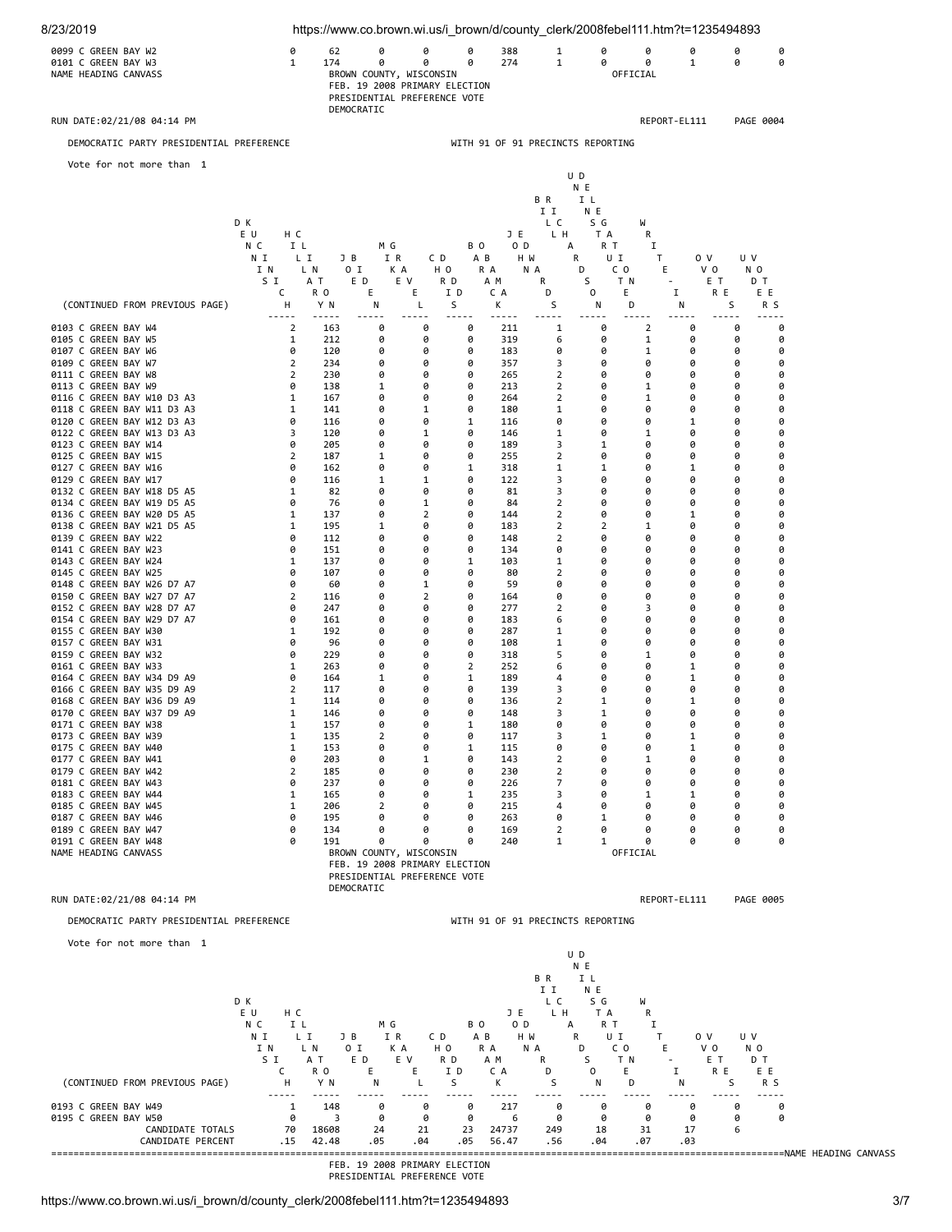

PRESIDENTIAL PREFERENCE VOTE

https://www.co.brown.wi.us/i\_brown/d/county\_clerk/2008febel111.htm?t=1235494893 3/7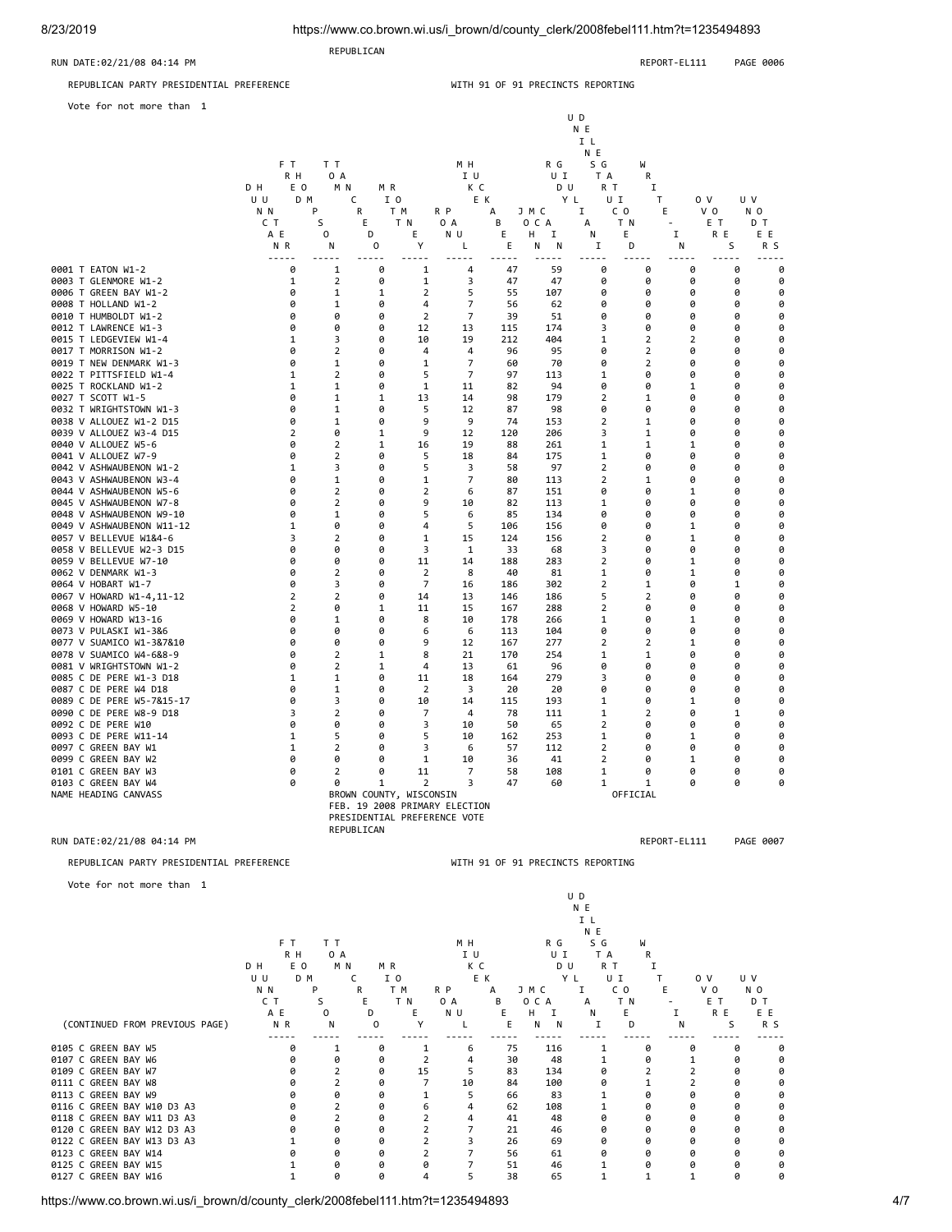8/23/2019 https://www.co.brown.wi.us/i\_brown/d/county\_clerk/2008febel111.htm?t=1235494893

 REPUBLICAN RUN DATE:02/21/08 04:14 PM **REPORT-EL111** PAGE 0006 REPUBLICAN PARTY PRESIDENTIAL PREFERENCE WITH 91 OF 91 PRECINCTS REPORTING

Vote fo

| Vote for not more than 1                      |                                                                                                                                                                                                                                                                                                                                                                                                                      |                                  |                               |                       | U D<br>N E<br>I L<br>N E |                       |                                  |                           |                       |                        |                   |                       |  |  |  |
|-----------------------------------------------|----------------------------------------------------------------------------------------------------------------------------------------------------------------------------------------------------------------------------------------------------------------------------------------------------------------------------------------------------------------------------------------------------------------------|----------------------------------|-------------------------------|-----------------------|--------------------------|-----------------------|----------------------------------|---------------------------|-----------------------|------------------------|-------------------|-----------------------|--|--|--|
|                                               | F T<br>R H<br>D H<br>E O<br>U U<br>D M                                                                                                                                                                                                                                                                                                                                                                               | T T<br>0 A<br>M N                | MR.<br>I 0<br>C               |                       | M H<br>I U<br>K C<br>E K |                       | R G<br>UΙ<br>D U<br>Y L          | S G<br>T A<br>R T<br>UI   | W<br>R<br>I<br>T.     | 0 V                    | U V               |                       |  |  |  |
|                                               | N N<br>C T                                                                                                                                                                                                                                                                                                                                                                                                           | P<br>S                           | R<br>T M<br>E                 | T N                   | R P<br>0 A               | A<br>В                | JMC<br>O C A                     | C <sub>0</sub><br>Ι.<br>A | T N                   | E.<br>$\sim$           | V 0<br>E T        | N <sub>0</sub><br>D T |  |  |  |
|                                               | ΑE<br>N <sub>R</sub><br>$\frac{1}{2} \frac{1}{2} \frac{1}{2} \frac{1}{2} \frac{1}{2} \frac{1}{2} \frac{1}{2} \frac{1}{2} \frac{1}{2} \frac{1}{2} \frac{1}{2} \frac{1}{2} \frac{1}{2} \frac{1}{2} \frac{1}{2} \frac{1}{2} \frac{1}{2} \frac{1}{2} \frac{1}{2} \frac{1}{2} \frac{1}{2} \frac{1}{2} \frac{1}{2} \frac{1}{2} \frac{1}{2} \frac{1}{2} \frac{1}{2} \frac{1}{2} \frac{1}{2} \frac{1}{2} \frac{1}{2} \frac{$ | $\mathbf{0}$<br>N<br>$- - - - -$ | D<br>0<br>$- - - - -$         | Е<br>Υ<br>$- - - - -$ | ΝU<br>L<br>$- - - - -$   | E<br>E<br>$- - - - -$ | H.<br>I<br>N<br>Ν<br>$- - - - -$ | N<br>$\mathbf I$<br>----- | Е<br>D<br>$- - - - -$ | Ι.<br>N<br>$- - - - -$ | R E<br>S<br>----- | ΕE<br>R S<br>-----    |  |  |  |
| 0001 T EATON W1-2                             | 0                                                                                                                                                                                                                                                                                                                                                                                                                    | 1                                | 0                             | 1                     | $\overline{4}$           | 47                    | 59                               | 0                         | 0                     | 0                      | 0                 | 0                     |  |  |  |
| 0003 T GLENMORE W1-2<br>0006 T GREEN BAY W1-2 | 1<br>0                                                                                                                                                                                                                                                                                                                                                                                                               | 2<br>1                           | 0<br>1                        | 1<br>2                | 3<br>5                   | 47<br>55              | 47<br>107                        | 0<br>0                    | 0<br>0                | 0<br>0                 | 0<br>0            | 0<br>0                |  |  |  |
| 0008 T HOLLAND W1-2                           | 0                                                                                                                                                                                                                                                                                                                                                                                                                    | 1                                | 0                             | $\overline{4}$        | 7                        | 56                    | 62                               | 0                         | 0                     | 0                      | 0                 | 0                     |  |  |  |
| 0010 T HUMBOLDT W1-2                          | 0                                                                                                                                                                                                                                                                                                                                                                                                                    | 0                                | 0                             | $\overline{2}$        | $\overline{7}$           | 39                    | 51                               | 0                         | 0                     | 0                      | 0                 | 0                     |  |  |  |
| 0012 T LAWRENCE W1-3                          | 0                                                                                                                                                                                                                                                                                                                                                                                                                    | 0                                | 0                             | 12                    | 13                       | 115                   | 174                              | 3                         | 0                     | 0                      | 0                 | 0                     |  |  |  |
| 0015 T LEDGEVIEW W1-4                         | 1                                                                                                                                                                                                                                                                                                                                                                                                                    | 3                                | 0                             | 10                    | 19                       | 212                   | 404                              | 1                         | 2                     | 2                      | 0                 | 0                     |  |  |  |
| 0017 T MORRISON W1-2                          | 0                                                                                                                                                                                                                                                                                                                                                                                                                    | $\overline{2}$                   | 0                             | 4                     | 4                        | 96                    | 95                               | 0                         | $\overline{2}$        | 0                      | 0                 | 0                     |  |  |  |
| 0019 T NEW DENMARK W1-3                       | 0                                                                                                                                                                                                                                                                                                                                                                                                                    | $\mathbf{1}$                     | 0                             | 1                     | 7                        | 60                    | 70                               | ø                         | $\overline{2}$        | ø                      | 0                 | 0                     |  |  |  |
| 0022 T PITTSFIELD W1-4                        | 1                                                                                                                                                                                                                                                                                                                                                                                                                    | 2                                | 0                             | 5                     | 7                        | 97                    | 113                              | 1                         | 0                     | 0                      | 0                 | 0                     |  |  |  |
| 0025 T ROCKLAND W1-2                          | $\mathbf{1}$                                                                                                                                                                                                                                                                                                                                                                                                         | $\mathbf{1}$                     | 0                             | $\mathbf{1}$          | 11                       | 82                    | 94                               | 0                         | 0                     | $\mathbf{1}$           | 0                 | 0                     |  |  |  |
| 0027 T SCOTT W1-5<br>0032 T WRIGHTSTOWN W1-3  | 0<br>0                                                                                                                                                                                                                                                                                                                                                                                                               | $\mathbf 1$<br>1                 | 1<br>0                        | 13<br>5               | 14<br>12                 | 98<br>87              | 179<br>98                        | 2<br>0                    | 1<br>0                | 0<br>0                 | 0<br>0            | 0<br>0                |  |  |  |
| 0038 V ALLOUEZ W1-2 D15                       | ø                                                                                                                                                                                                                                                                                                                                                                                                                    | $\mathbf{1}$                     | ø                             | 9                     | 9                        | 74                    | 153                              | $\overline{2}$            | 1                     | ø                      | ø                 | 0                     |  |  |  |
| 0039 V ALLOUEZ W3-4 D15                       | $\overline{2}$                                                                                                                                                                                                                                                                                                                                                                                                       | 0                                | 1                             | 9                     | 12                       | 120                   | 206                              | 3                         | 1                     | 0                      | 0                 | 0                     |  |  |  |
| 0040 V ALLOUEZ W5-6                           | 0                                                                                                                                                                                                                                                                                                                                                                                                                    | $\overline{2}$                   | 1                             | 16                    | 19                       | 88                    | 261                              | 1                         | 1                     | 1                      | 0                 | 0                     |  |  |  |
| 0041 V ALLOUEZ W7-9                           | 0                                                                                                                                                                                                                                                                                                                                                                                                                    | $\overline{2}$                   | 0                             | 5                     | 18                       | 84                    | 175                              | 1                         | 0                     | 0                      | 0                 | 0                     |  |  |  |
| 0042 V ASHWAUBENON W1-2                       | 1                                                                                                                                                                                                                                                                                                                                                                                                                    | 3                                | 0                             | 5                     | 3                        | 58                    | 97                               | 2                         | 0                     | 0                      | 0                 | 0                     |  |  |  |
| 0043 V ASHWAUBENON W3-4                       | ø                                                                                                                                                                                                                                                                                                                                                                                                                    | $\mathbf{1}$                     | ø                             | 1                     | 7                        | 80                    | 113                              | 2                         | 1                     | ø                      | ø                 | 0                     |  |  |  |
| 0044 V ASHWAUBENON W5-6                       | 0                                                                                                                                                                                                                                                                                                                                                                                                                    | $\overline{2}$                   | 0                             | 2                     | 6                        | 87                    | 151                              | ø                         | ø                     | 1                      | 0                 | 0                     |  |  |  |
| 0045 V ASHWAUBENON W7-8                       | 0                                                                                                                                                                                                                                                                                                                                                                                                                    | $\overline{2}$                   | 0                             | 9                     | 10                       | 82                    | 113                              | 1                         | 0                     | 0                      | 0                 | 0                     |  |  |  |
| 0048 V ASHWAUBENON W9-10                      | 0                                                                                                                                                                                                                                                                                                                                                                                                                    | $\mathbf{1}$                     | 0                             | 5                     | 6                        | 85                    | 134                              | 0                         | 0                     | 0                      | 0                 | 0                     |  |  |  |
| 0049 V ASHWAUBENON W11-12                     | 1                                                                                                                                                                                                                                                                                                                                                                                                                    | 0                                | 0                             | 4                     | 5                        | 106                   | 156                              | 0                         | 0                     | 1                      | 0                 | 0                     |  |  |  |
| 0057 V BELLEVUE W1&4-6                        | 3                                                                                                                                                                                                                                                                                                                                                                                                                    | $\overline{2}$                   | 0                             | 1                     | 15                       | 124                   | 156                              | 2                         | a                     | $\mathbf{1}$           | 0                 | 0                     |  |  |  |
| 0058 V BELLEVUE W2-3 D15                      | 0                                                                                                                                                                                                                                                                                                                                                                                                                    | ø                                | ø                             | 3                     | 1                        | 33                    | 68                               | 3                         | ø                     | ø                      | ø                 | 0                     |  |  |  |
| 0059 V BELLEVUE W7-10<br>0062 V DENMARK W1-3  | 0<br>0                                                                                                                                                                                                                                                                                                                                                                                                               | 0<br>2                           | 0<br>0                        | 11<br>2               | 14<br>8                  | 188<br>40             | 283<br>81                        | 2<br>1                    | 0<br>0                | 1<br>1                 | 0<br>0            | 0<br>0                |  |  |  |
| 0064 V HOBART W1-7                            | 0                                                                                                                                                                                                                                                                                                                                                                                                                    | 3                                | 0                             | $\overline{7}$        | 16                       | 186                   | 302                              | $\overline{2}$            | 1                     | 0                      | 1                 | 0                     |  |  |  |
| 0067 V HOWARD W1-4,11-12                      | $\overline{2}$                                                                                                                                                                                                                                                                                                                                                                                                       | $\overline{2}$                   | 0                             | 14                    | 13                       | 146                   | 186                              | 5                         | $\overline{2}$        | 0                      | 0                 | 0                     |  |  |  |
| 0068 V HOWARD W5-10                           | $\overline{2}$                                                                                                                                                                                                                                                                                                                                                                                                       | 0                                | 1                             | 11                    | 15                       | 167                   | 288                              | 2                         | 0                     | 0                      | 0                 | 0                     |  |  |  |
| 0069 V HOWARD W13-16                          | 0                                                                                                                                                                                                                                                                                                                                                                                                                    | 1                                | 0                             | 8                     | 10                       | 178                   | 266                              | 1                         | 0                     | 1                      | 0                 | 0                     |  |  |  |
| 0073 V PULASKI W1-3&6                         | 0                                                                                                                                                                                                                                                                                                                                                                                                                    | 0                                | 0                             | 6                     | 6                        | 113                   | 104                              | 0                         | 0                     | 0                      | 0                 | 0                     |  |  |  |
| 0077 V SUAMICO W1-3&7&10                      | 0                                                                                                                                                                                                                                                                                                                                                                                                                    | 0                                | 0                             | 9                     | 12                       | 167                   | 277                              | 2                         | 2                     | 1                      | 0                 | 0                     |  |  |  |
| 0078 V SUAMICO W4-6&8-9                       | 0                                                                                                                                                                                                                                                                                                                                                                                                                    | $\overline{2}$                   | 1                             | 8                     | 21                       | 170                   | 254                              | 1                         | $\mathbf{1}$          | ø                      | 0                 | 0                     |  |  |  |
| 0081 V WRIGHTSTOWN W1-2                       | 0                                                                                                                                                                                                                                                                                                                                                                                                                    | $\overline{2}$                   | 1                             | 4                     | 13                       | 61                    | 96                               | 0                         | 0                     | 0                      | 0                 | 0                     |  |  |  |
| 0085 C DE PERE W1-3 D18                       | 1                                                                                                                                                                                                                                                                                                                                                                                                                    | 1                                | 0                             | 11                    | 18                       | 164                   | 279                              | 3                         | 0                     | 0                      | 0                 | 0                     |  |  |  |
| 0087 C DE PERE W4 D18                         | 0                                                                                                                                                                                                                                                                                                                                                                                                                    | $\mathbf{1}$                     | 0                             | $\overline{2}$        | 3                        | 20                    | 20                               | 0                         | 0                     | 0                      | 0                 | 0                     |  |  |  |
| 0089 C DE PERE W5-7&15-17                     | 0<br>3                                                                                                                                                                                                                                                                                                                                                                                                               | 3<br>$\overline{2}$              | 0<br>ø                        | 10<br>7               | 14<br>4                  | 115<br>78             | 193                              | 1<br>1                    | 0<br>2                | 1<br>ø                 | 0<br>1            | 0                     |  |  |  |
| 0090 C DE PERE W8-9 D18<br>0092 C DE PERE W10 | 0                                                                                                                                                                                                                                                                                                                                                                                                                    | 0                                | 0                             | 3                     | 10                       | 50                    | 111<br>65                        | 2                         | 0                     | 0                      | 0                 | 0<br>0                |  |  |  |
| 0093 C DE PERE W11-14                         | 1                                                                                                                                                                                                                                                                                                                                                                                                                    | 5                                | 0                             | 5                     | 10                       | 162                   | 253                              | 1                         | 0                     | 1                      | 0                 | 0                     |  |  |  |
| 0097 C GREEN BAY W1                           | 1                                                                                                                                                                                                                                                                                                                                                                                                                    | $\overline{2}$                   | 0                             | 3                     | 6                        | 57                    | 112                              | 2                         | 0                     | 0                      | 0                 | 0                     |  |  |  |
| 0099 C GREEN BAY W2                           | ø                                                                                                                                                                                                                                                                                                                                                                                                                    | ø                                | 0                             | 1                     | 10                       | 36                    | 41                               | 2                         | 0                     | 1                      | 0                 | 0                     |  |  |  |
| 0101 C GREEN BAY W3                           | ø                                                                                                                                                                                                                                                                                                                                                                                                                    | $\overline{2}$                   | ø                             | 11                    | 7                        | 58                    | 108                              | $\mathbf{1}$              | ø                     | ø                      | ø                 | 0                     |  |  |  |
| 0103 C GREEN BAY W4                           | 0                                                                                                                                                                                                                                                                                                                                                                                                                    | 0                                | 1                             | 2                     | 3                        | 47                    | 60                               | 1                         | 1                     | 0                      | 0                 | 0                     |  |  |  |
| NAME HEADING CANVASS                          |                                                                                                                                                                                                                                                                                                                                                                                                                      |                                  | BROWN COUNTY, WISCONSIN       |                       |                          |                       |                                  |                           | OFFICIAL              |                        |                   |                       |  |  |  |
|                                               |                                                                                                                                                                                                                                                                                                                                                                                                                      |                                  | FEB. 19 2008 PRIMARY ELECTION |                       |                          |                       |                                  |                           |                       |                        |                   |                       |  |  |  |
|                                               |                                                                                                                                                                                                                                                                                                                                                                                                                      |                                  | PRESIDENTIAL PREFERENCE VOTE  |                       |                          |                       |                                  |                           |                       |                        |                   |                       |  |  |  |
|                                               |                                                                                                                                                                                                                                                                                                                                                                                                                      |                                  | REPUBLICAN                    |                       |                          |                       |                                  |                           |                       |                        |                   |                       |  |  |  |

## RUN DATE:02/21/08 04:14 PM REPORT-EL111 PAGE 0007

Vote for not more than 1

|                                |            |          |             |     |     |     |        | N E            |     |   |                |     |
|--------------------------------|------------|----------|-------------|-----|-----|-----|--------|----------------|-----|---|----------------|-----|
|                                |            |          |             |     |     |     |        | I <sub>l</sub> |     |   |                |     |
|                                |            |          |             |     |     |     |        | E<br>N         |     |   |                |     |
|                                | F T        | ТT       |             |     | M H |     | R G    | S G            | W   |   |                |     |
|                                | R H        | 0 A      |             |     | ΙU  |     | UI     | T A            | R   |   |                |     |
|                                | E O<br>D H | M N      | MR          |     | K C |     | D U    | R T            |     |   |                |     |
|                                | UU<br>D M  |          |             | I 0 |     | E K |        | YL             | υI  |   | 0 <sub>V</sub> | U V |
|                                | N N        | P        | R           | T M | R P | А   | J M C  |                | C O | Е | V <sub>0</sub> | N O |
|                                | C T        | S        | E           | T N | 0 A | В   | O C A  | A              | T N |   | E T            | D T |
|                                | A E        | $\Omega$ | D           | E   | N U | E   | н      | N              | E   |   | R E            | E E |
| (CONTINUED FROM PREVIOUS PAGE) | N R        | N        | $\mathbf 0$ | Υ   |     | Е   | N<br>N |                | D   | N | S              | R S |
|                                |            |          |             |     |     |     |        |                |     |   |                |     |
| 0105 C GREEN BAY W5            | ø          |          | 0           |     | 6   | 75  | 116    |                | 0   | ø | ø              | 0   |
| 0107 C GREEN BAY W6            |            | ø        | ø           | 2   | 4   | 30  | 48     |                | 0   |   | ø              | 0   |
| 0109 C GREEN BAY W7            |            |          | Ø           | 15  | 5   | 83  | 134    | ø              |     |   | 0              | 0   |
| 0111 C GREEN BAY W8            |            |          | ø           |     | 10  | 84  | 100    | a              |     |   | ø              | 0   |
| 0113 C GREEN BAY W9            |            | a        | ø           |     | 5   | 66  | 83     |                | ø   | ø | ø              | 0   |
| 0116 C GREEN BAY W10 D3 A3     |            |          | p           |     | 4   | 62  | 108    |                | ø   | ø | ø              | 0   |
| 0118 C GREEN BAY W11 D3 A3     |            |          |             |     | 4   | 41  | 48     | ø              | ø   | ø | a              | 0   |
| 0120 C GREEN BAY W12 D3 A3     |            | ø        | ø           |     |     | 21  | 46     | a              | 0   | ø | ø              | 0   |
| 0122 C GREEN BAY W13 D3 A3     |            | ø        | ø           |     |     | 26  | 69     | ø              | 0   | ø | a              | 0   |
| 0123 C GREEN BAY W14           |            | ø        | 0           |     |     | 56  | 61     | a              | 0   | ø | 0              | 0   |
| 0125 C GREEN BAY W15           |            | ø        | ø           | ø   |     | 51  | 46     |                | 0   | ø | ø              | 0   |
| 0127 C GREEN BAY W16           |            | 0        | ø           | 4   | 5   | 38  | 65     |                |     |   | 0              | 0   |

U D

REPUBLICAN PARTY PRESIDENTIAL PREFERENCE WITH 91 OF 91 PRECINCTS REPORTING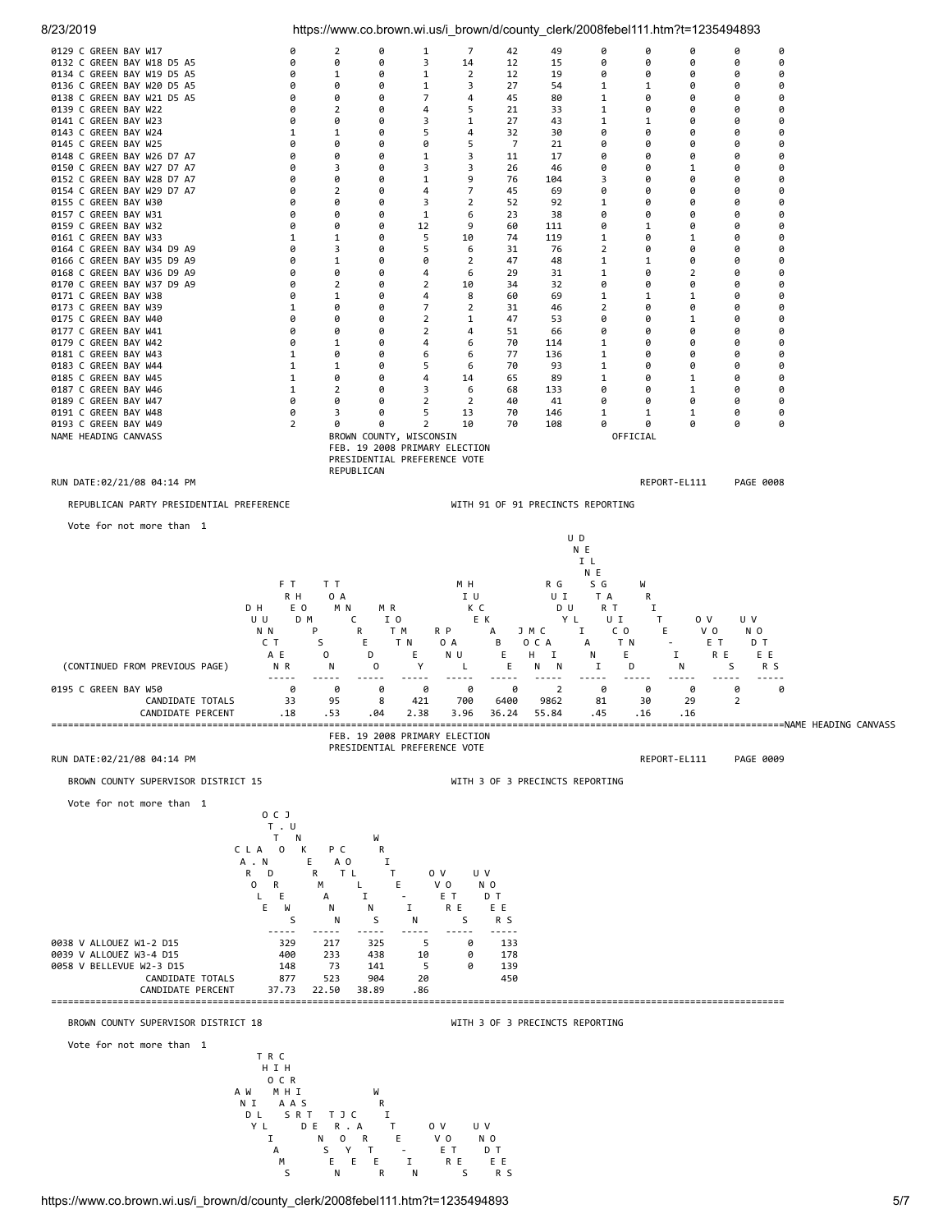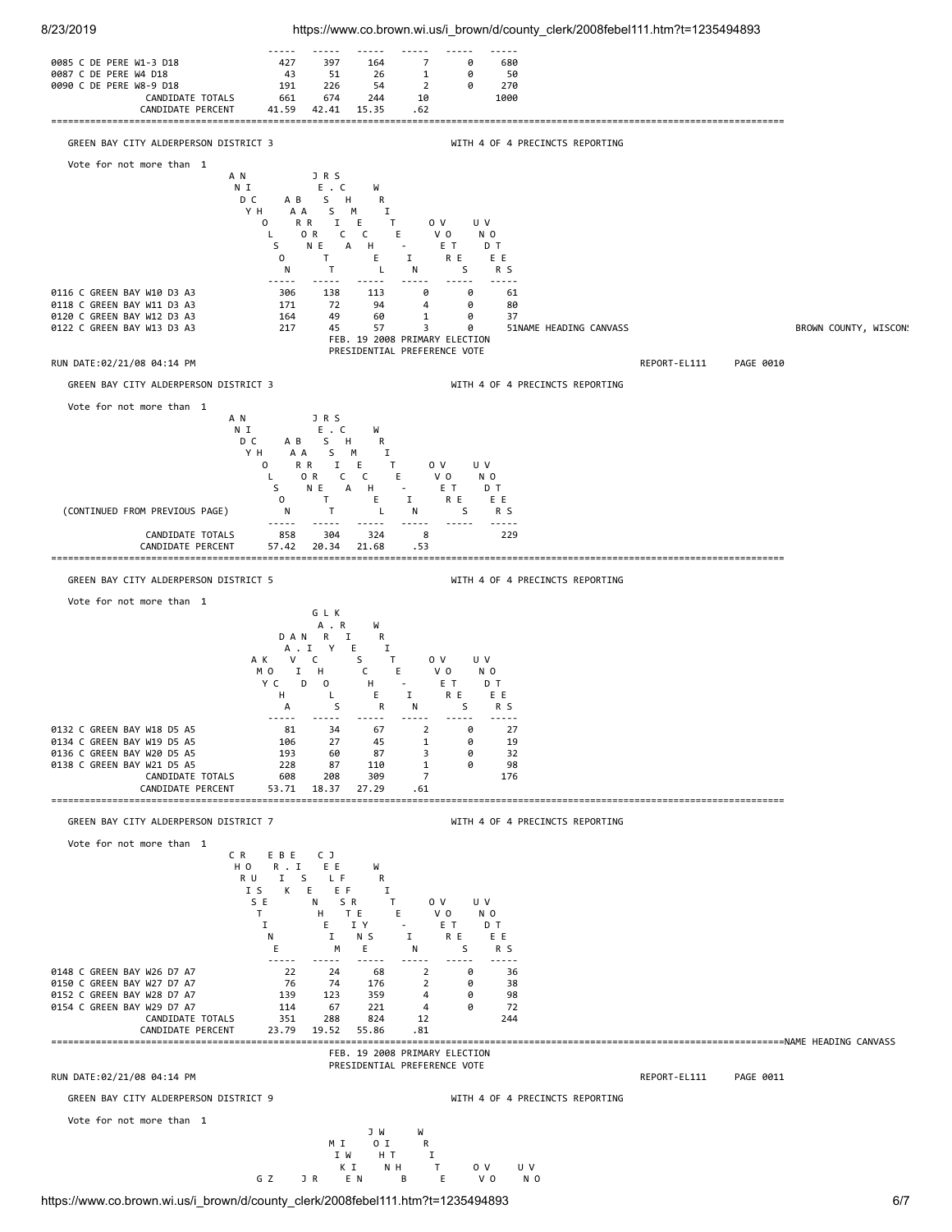

8/23/2019 https://www.co.brown.wi.us/i\_brown/d/county\_clerk/2008febel111.htm?t=1235494893